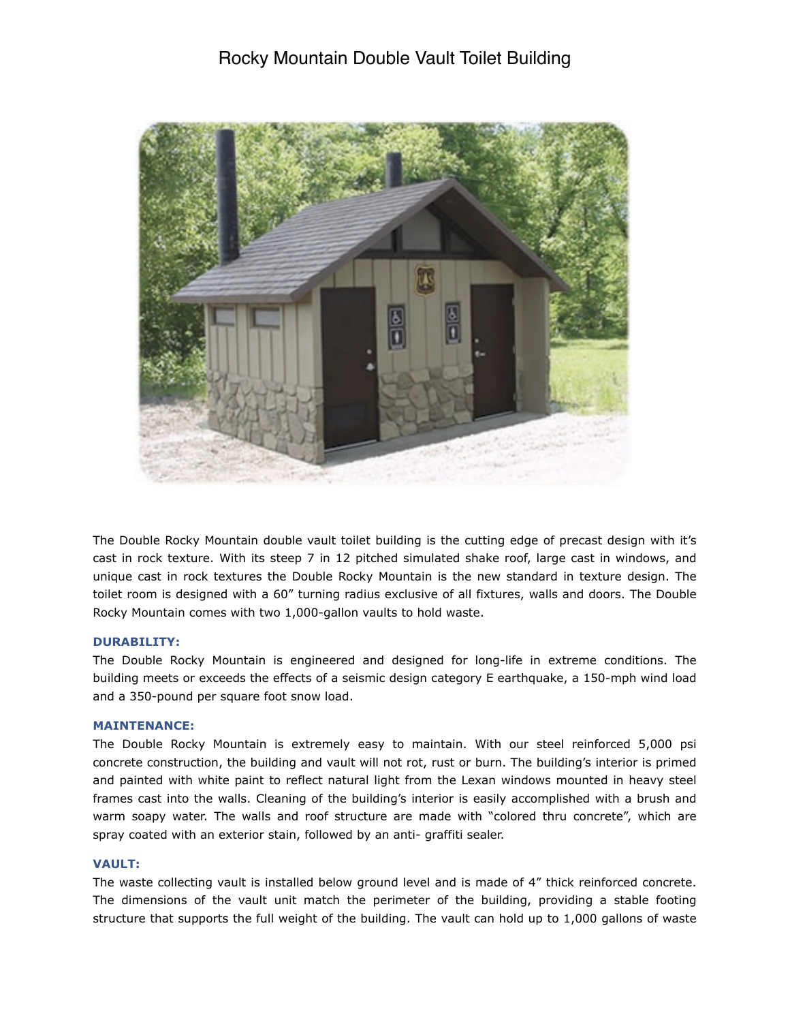# Rocky Mountain Double Vault Toilet Building



The Double Rocky Mountain double vault toilet building is the cutting edge of precast design with it's cast in rock texture. With its steep 7 in 12 pitched simulated shake roof, large cast in windows, and unique cast in rock textures the Double Rocky Mountain is the new standard in texture design. The toilet room is designed with a 60" turning radius exclusive of all fixtures, walls and doors. The Double Rocky Mountain comes with two 1,000-gallon vaults to hold waste.

## **DURABILITY:**

The Double Rocky Mountain is engineered and designed for long-life in extreme conditions. The building meets or exceeds the effects of a seismic design category E earthquake, a 150-mph wind load and a 350-pound per square foot snow load.

## **MAINTENANCE:**

The Double Rocky Mountain is extremely easy to maintain. With our steel reinforced 5,000 psi concrete construction, the building and vault will not rot, rust or burn. The building's interior is primed and painted with white paint to reflect natural light from the Lexan windows mounted in heavy steel frames cast into the walls. Cleaning of the building's interior is easily accomplished with a brush and warm soapy water. The walls and roof structure are made with "colored thru concrete", which are spray coated with an exterior stain, followed by an anti- graffiti sealer.

#### **VAULT:**

The waste collecting vault is installed below ground level and is made of 4" thick reinforced concrete. The dimensions of the vault unit match the perimeter of the building, providing a stable footing structure that supports the full weight of the building. The vault can hold up to 1,000 gallons of waste